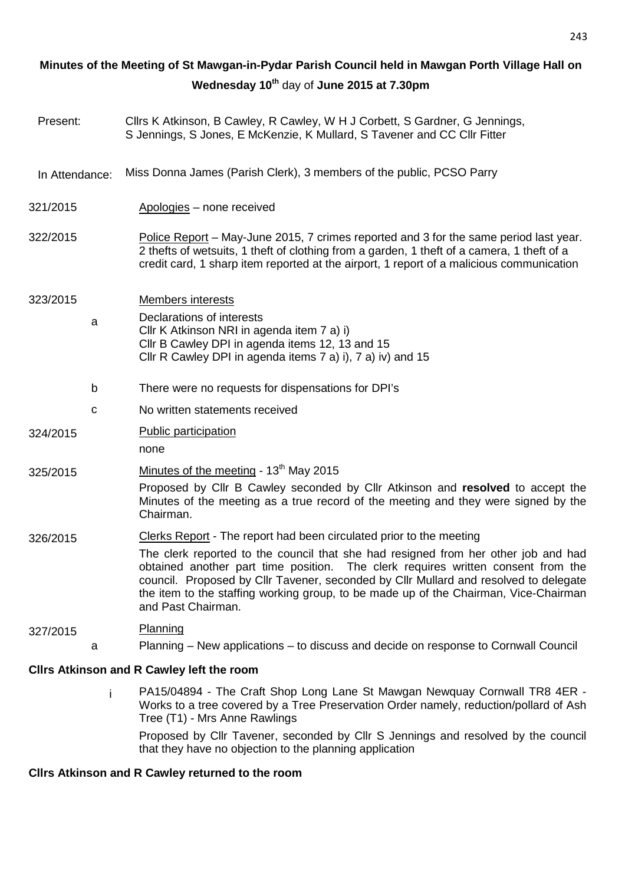# 321/2015 Apologies – none received 322/2015 Police Report – May-June 2015, 7 crimes reported and 3 for the same period last year. 2 thefts of wetsuits, 1 theft of clothing from a garden, 1 theft of a camera, 1 theft of a credit card, 1 sharp item reported at the airport, 1 report of a malicious communication 323/2015 Members interests a Declarations of interests Cllr K Atkinson NRI in agenda item 7 a) i) Cllr B Cawley DPI in agenda items 12, 13 and 15 Cllr R Cawley DPI in agenda items 7 a) i), 7 a) iv) and 15 b There were no requests for dispensations for DPI's c No written statements received 324/2015 Public participation none  $325/2015$  Minutes of the meeting - 13<sup>th</sup> May 2015 Proposed by Cllr B Cawley seconded by Cllr Atkinson and **resolved** to accept the Minutes of the meeting as a true record of the meeting and they were signed by the Chairman. 326/2015 Clerks Report - The report had been circulated prior to the meeting The clerk reported to the council that she had resigned from her other job and had obtained another part time position. The clerk requires written consent from the council. Proposed by Cllr Tavener, seconded by Cllr Mullard and resolved to delegate the item to the staffing working group, to be made up of the Chairman, Vice-Chairman and Past Chairman. 327/2015 Planning a Planning – New applications – to discuss and decide on response to Cornwall Council **Cllrs Atkinson and R Cawley left the room**  i PA15/04894 - The Craft Shop Long Lane St Mawgan Newquay Cornwall TR8 4ER - Present: Cllrs K Atkinson, B Cawley, R Cawley, W H J Corbett, S Gardner, G Jennings, S Jennings, S Jones, E McKenzie, K Mullard, S Tavener and CC Cllr Fitter In Attendance: Miss Donna James (Parish Clerk), 3 members of the public, PCSO Parry **Minutes of the Meeting of St Mawgan-in-Pydar Parish Council held in Mawgan Porth Village Hall on Wednesday 10th** day of **June 2015 at 7.30pm**

Works to a tree covered by a Tree Preservation Order namely, reduction/pollard of Ash Tree (T1) - Mrs Anne Rawlings Proposed by Cllr Tavener, seconded by Cllr S Jennings and resolved by the council that they have no objection to the planning application

## **Cllrs Atkinson and R Cawley returned to the room**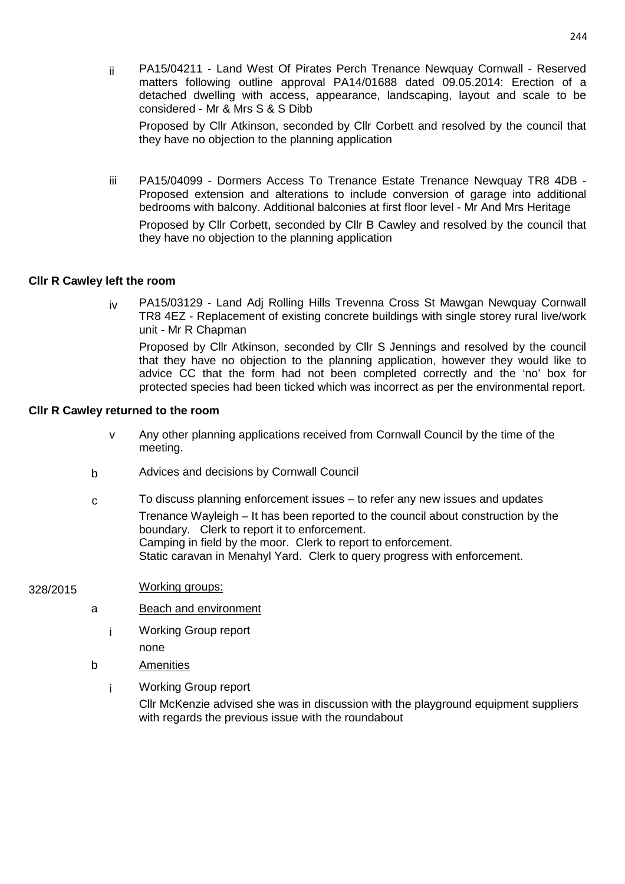ii PA15/04211 - Land West Of Pirates Perch Trenance Newquay Cornwall - Reserved matters following outline approval PA14/01688 dated 09.05.2014: Erection of a detached dwelling with access, appearance, landscaping, layout and scale to be considered - Mr & Mrs S & S Dibb

Proposed by Cllr Atkinson, seconded by Cllr Corbett and resolved by the council that they have no objection to the planning application

iii PA15/04099 - Dormers Access To Trenance Estate Trenance Newquay TR8 4DB - Proposed extension and alterations to include conversion of garage into additional bedrooms with balcony. Additional balconies at first floor level - Mr And Mrs Heritage

Proposed by Cllr Corbett, seconded by Cllr B Cawley and resolved by the council that they have no objection to the planning application

## **Cllr R Cawley left the room**

iv PA15/03129 - Land Adj Rolling Hills Trevenna Cross St Mawgan Newquay Cornwall TR8 4EZ - Replacement of existing concrete buildings with single storey rural live/work unit - Mr R Chapman

Proposed by Cllr Atkinson, seconded by Cllr S Jennings and resolved by the council that they have no objection to the planning application, however they would like to advice CC that the form had not been completed correctly and the 'no' box for protected species had been ticked which was incorrect as per the environmental report.

#### **Cllr R Cawley returned to the room**

- v Any other planning applications received from Cornwall Council by the time of the meeting.
- b Advices and decisions by Cornwall Council
- $c \overline{c}$  To discuss planning enforcement issues to refer any new issues and updates Trenance Wayleigh – It has been reported to the council about construction by the boundary. Clerk to report it to enforcement. Camping in field by the moor. Clerk to report to enforcement. Static caravan in Menahyl Yard. Clerk to query progress with enforcement.

#### 328/2015 Working groups:

- a Beach and environment
	- i Working Group report none
- b Amenities
	- i Working Group report

Cllr McKenzie advised she was in discussion with the playground equipment suppliers with regards the previous issue with the roundabout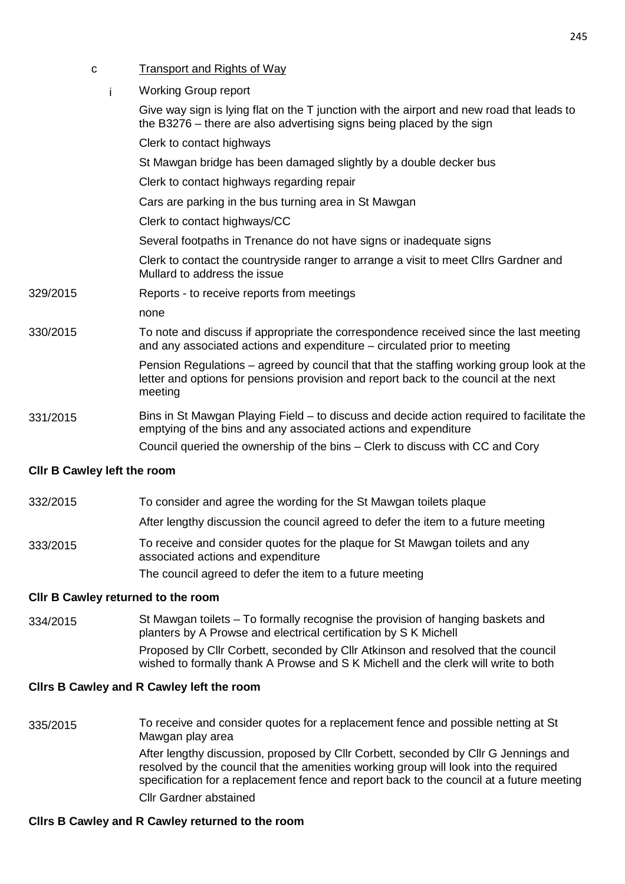- c Transport and Rights of Way
	- i Working Group report

| <b>CIIr B Cawley left the room</b> |                                                                                                                                                                                             |  |  |
|------------------------------------|---------------------------------------------------------------------------------------------------------------------------------------------------------------------------------------------|--|--|
|                                    | Council queried the ownership of the bins – Clerk to discuss with CC and Cory                                                                                                               |  |  |
| 331/2015                           | Bins in St Mawgan Playing Field – to discuss and decide action required to facilitate the<br>emptying of the bins and any associated actions and expenditure                                |  |  |
|                                    | Pension Regulations - agreed by council that that the staffing working group look at the<br>letter and options for pensions provision and report back to the council at the next<br>meeting |  |  |
| 330/2015                           | To note and discuss if appropriate the correspondence received since the last meeting<br>and any associated actions and expenditure – circulated prior to meeting                           |  |  |
|                                    | none                                                                                                                                                                                        |  |  |
| 329/2015                           | Reports - to receive reports from meetings                                                                                                                                                  |  |  |
|                                    | Clerk to contact the countryside ranger to arrange a visit to meet Cllrs Gardner and<br>Mullard to address the issue                                                                        |  |  |
|                                    | Several footpaths in Trenance do not have signs or inadequate signs                                                                                                                         |  |  |
|                                    | Clerk to contact highways/CC                                                                                                                                                                |  |  |
|                                    | Cars are parking in the bus turning area in St Mawgan                                                                                                                                       |  |  |
|                                    | Clerk to contact highways regarding repair                                                                                                                                                  |  |  |
|                                    | St Mawgan bridge has been damaged slightly by a double decker bus                                                                                                                           |  |  |
|                                    | Clerk to contact highways                                                                                                                                                                   |  |  |
|                                    | Give way sign is lying flat on the T junction with the airport and new road that leads to<br>the B3276 – there are also advertising signs being placed by the sign                          |  |  |
|                                    |                                                                                                                                                                                             |  |  |

- 332/2015 To consider and agree the wording for the St Mawgan toilets plaque
	- After lengthy discussion the council agreed to defer the item to a future meeting
- 333/2015 To receive and consider quotes for the plaque for St Mawgan toilets and any associated actions and expenditure The council agreed to defer the item to a future meeting

#### **Cllr B Cawley returned to the room**

334/2015 St Mawgan toilets – To formally recognise the provision of hanging baskets and planters by A Prowse and electrical certification by S K Michell Proposed by Cllr Corbett, seconded by Cllr Atkinson and resolved that the council wished to formally thank A Prowse and S K Michell and the clerk will write to both

#### **Cllrs B Cawley and R Cawley left the room**

335/2015 To receive and consider quotes for a replacement fence and possible netting at St Mawgan play area After lengthy discussion, proposed by Cllr Corbett, seconded by Cllr G Jennings and resolved by the council that the amenities working group will look into the required specification for a replacement fence and report back to the council at a future meeting Cllr Gardner abstained

#### **Cllrs B Cawley and R Cawley returned to the room**